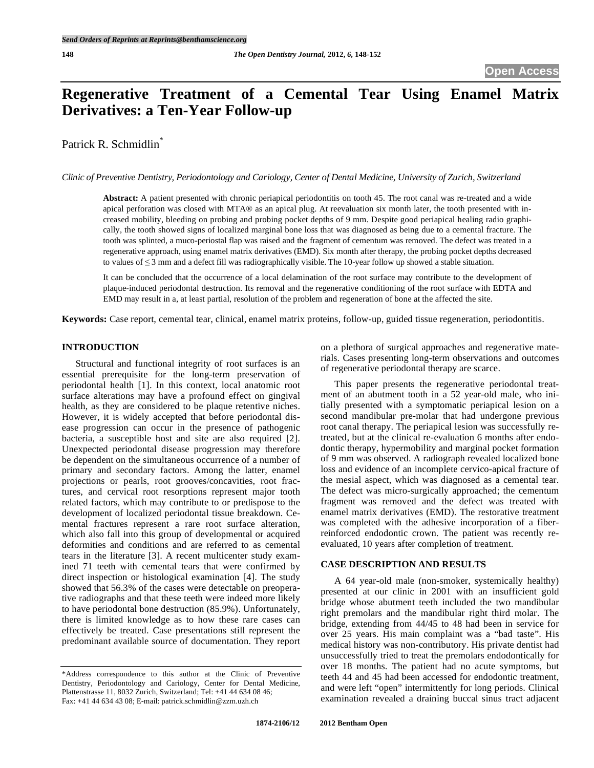# **Regenerative Treatment of a Cemental Tear Using Enamel Matrix Derivatives: a Ten-Year Follow-up**

Patrick R. Schmidlin<sup>\*</sup>

*Clinic of Preventive Dentistry, Periodontology and Cariology, Center of Dental Medicine, University of Zurich, Switzerland* 

**Abstract:** A patient presented with chronic periapical periodontitis on tooth 45. The root canal was re-treated and a wide apical perforation was closed with MTA® as an apical plug. At reevaluation six month later, the tooth presented with increased mobility, bleeding on probing and probing pocket depths of 9 mm. Despite good periapical healing radio graphically, the tooth showed signs of localized marginal bone loss that was diagnosed as being due to a cemental fracture. The tooth was splinted, a muco-periostal flap was raised and the fragment of cementum was removed. The defect was treated in a regenerative approach, using enamel matrix derivatives (EMD). Six month after therapy, the probing pocket depths decreased to values of  $\leq$  3 mm and a defect fill was radiographically visible. The 10-year follow up showed a stable situation.

It can be concluded that the occurrence of a local delamination of the root surface may contribute to the development of plaque-induced periodontal destruction. Its removal and the regenerative conditioning of the root surface with EDTA and EMD may result in a, at least partial, resolution of the problem and regeneration of bone at the affected the site.

**Keywords:** Case report, cemental tear, clinical, enamel matrix proteins, follow-up, guided tissue regeneration, periodontitis.

# **INTRODUCTION**

Structural and functional integrity of root surfaces is an essential prerequisite for the long-term preservation of periodontal health [1]. In this context, local anatomic root surface alterations may have a profound effect on gingival health, as they are considered to be plaque retentive niches. However, it is widely accepted that before periodontal disease progression can occur in the presence of pathogenic bacteria, a susceptible host and site are also required [2]. Unexpected periodontal disease progression may therefore be dependent on the simultaneous occurrence of a number of primary and secondary factors. Among the latter, enamel projections or pearls, root grooves/concavities, root fractures, and cervical root resorptions represent major tooth related factors, which may contribute to or predispose to the development of localized periodontal tissue breakdown. Cemental fractures represent a rare root surface alteration, which also fall into this group of developmental or acquired deformities and conditions and are referred to as cemental tears in the literature [3]. A recent multicenter study examined 71 teeth with cemental tears that were confirmed by direct inspection or histological examination [4]. The study showed that 56.3% of the cases were detectable on preoperative radiographs and that these teeth were indeed more likely to have periodontal bone destruction (85.9%). Unfortunately, there is limited knowledge as to how these rare cases can effectively be treated. Case presentations still represent the predominant available source of documentation. They report

on a plethora of surgical approaches and regenerative materials. Cases presenting long-term observations and outcomes of regenerative periodontal therapy are scarce.

This paper presents the regenerative periodontal treatment of an abutment tooth in a 52 year-old male, who initially presented with a symptomatic periapical lesion on a second mandibular pre-molar that had undergone previous root canal therapy. The periapical lesion was successfully retreated, but at the clinical re-evaluation 6 months after endodontic therapy, hypermobility and marginal pocket formation of 9 mm was observed. A radiograph revealed localized bone loss and evidence of an incomplete cervico-apical fracture of the mesial aspect, which was diagnosed as a cemental tear. The defect was micro-surgically approached; the cementum fragment was removed and the defect was treated with enamel matrix derivatives (EMD). The restorative treatment was completed with the adhesive incorporation of a fiberreinforced endodontic crown. The patient was recently reevaluated, 10 years after completion of treatment.

## **CASE DESCRIPTION AND RESULTS**

A 64 year-old male (non-smoker, systemically healthy) presented at our clinic in 2001 with an insufficient gold bridge whose abutment teeth included the two mandibular right premolars and the mandibular right third molar. The bridge, extending from 44/45 to 48 had been in service for over 25 years. His main complaint was a "bad taste". His medical history was non-contributory. His private dentist had unsuccessfully tried to treat the premolars endodontically for over 18 months. The patient had no acute symptoms, but teeth 44 and 45 had been accessed for endodontic treatment, and were left "open" intermittently for long periods. Clinical examination revealed a draining buccal sinus tract adjacent

<sup>\*</sup>Address correspondence to this author at the Clinic of Preventive Dentistry, Periodontology and Cariology, Center for Dental Medicine, Plattenstrasse 11, 8032 Zurich, Switzerland; Tel: +41 44 634 08 46; Fax: +41 44 634 43 08; E-mail: patrick.schmidlin@zzm.uzh.ch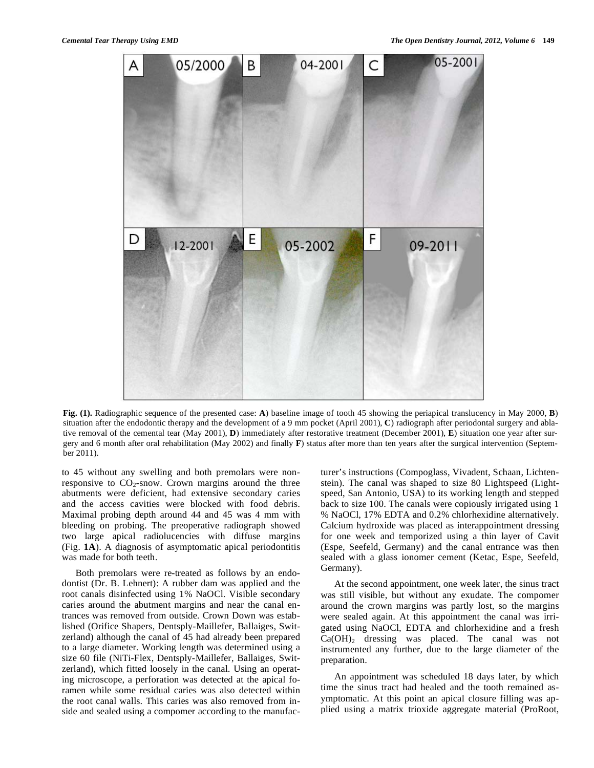

**Fig. (1).** Radiographic sequence of the presented case: **A**) baseline image of tooth 45 showing the periapical translucency in May 2000, **B**) situation after the endodontic therapy and the development of a 9 mm pocket (April 2001), **C**) radiograph after periodontal surgery and ablative removal of the cemental tear (May 2001), **D**) immediately after restorative treatment (December 2001), **E**) situation one year after surgery and 6 month after oral rehabilitation (May 2002) and finally **F**) status after more than ten years after the surgical intervention (September 2011).

to 45 without any swelling and both premolars were nonresponsive to  $CO_2$ -snow. Crown margins around the three abutments were deficient, had extensive secondary caries and the access cavities were blocked with food debris. Maximal probing depth around 44 and 45 was 4 mm with bleeding on probing. The preoperative radiograph showed two large apical radiolucencies with diffuse margins (Fig. **1A**). A diagnosis of asymptomatic apical periodontitis was made for both teeth.

Both premolars were re-treated as follows by an endodontist (Dr. B. Lehnert): A rubber dam was applied and the root canals disinfected using 1% NaOCl. Visible secondary caries around the abutment margins and near the canal entrances was removed from outside. Crown Down was established (Orifice Shapers, Dentsply-Maillefer, Ballaiges, Switzerland) although the canal of 45 had already been prepared to a large diameter. Working length was determined using a size 60 file (NiTi-Flex, Dentsply-Maillefer, Ballaiges, Switzerland), which fitted loosely in the canal. Using an operating microscope, a perforation was detected at the apical foramen while some residual caries was also detected within the root canal walls. This caries was also removed from inside and sealed using a compomer according to the manufacturer's instructions (Compoglass, Vivadent, Schaan, Lichtenstein). The canal was shaped to size 80 Lightspeed (Lightspeed, San Antonio, USA) to its working length and stepped back to size 100. The canals were copiously irrigated using 1 % NaOCl, 17% EDTA and 0.2% chlorhexidine alternatively. Calcium hydroxide was placed as interappointment dressing for one week and temporized using a thin layer of Cavit (Espe, Seefeld, Germany) and the canal entrance was then sealed with a glass ionomer cement (Ketac, Espe, Seefeld, Germany).

At the second appointment, one week later, the sinus tract was still visible, but without any exudate. The compomer around the crown margins was partly lost, so the margins were sealed again. At this appointment the canal was irrigated using NaOCl, EDTA and chlorhexidine and a fresh Ca(OH)2 dressing was placed. The canal was not instrumented any further, due to the large diameter of the preparation.

An appointment was scheduled 18 days later, by which time the sinus tract had healed and the tooth remained asymptomatic. At this point an apical closure filling was applied using a matrix trioxide aggregate material (ProRoot,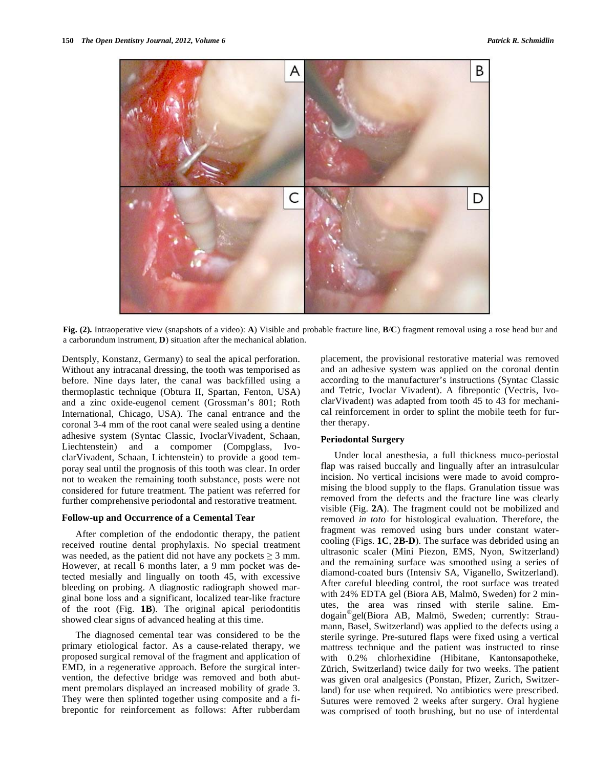

**Fig. (2).** Intraoperative view (snapshots of a video): **A**) Visible and probable fracture line, **B**/**C**) fragment removal using a rose head bur and a carborundum instrument, **D**) situation after the mechanical ablation.

Dentsply, Konstanz, Germany) to seal the apical perforation. Without any intracanal dressing, the tooth was temporised as before. Nine days later, the canal was backfilled using a thermoplastic technique (Obtura II, Spartan, Fenton, USA) and a zinc oxide-eugenol cement (Grossman's 801; Roth International, Chicago, USA). The canal entrance and the coronal 3-4 mm of the root canal were sealed using a dentine adhesive system (Syntac Classic, IvoclarVivadent, Schaan, Liechtenstein) and a compomer (Compglass, IvoclarVivadent, Schaan, Lichtenstein) to provide a good temporay seal until the prognosis of this tooth was clear. In order not to weaken the remaining tooth substance, posts were not considered for future treatment. The patient was referred for further comprehensive periodontal and restorative treatment.

## **Follow-up and Occurrence of a Cemental Tear**

After completion of the endodontic therapy, the patient received routine dental prophylaxis. No special treatment was needed, as the patient did not have any pockets  $\geq 3$  mm. However, at recall 6 months later, a 9 mm pocket was detected mesially and lingually on tooth 45, with excessive bleeding on probing. A diagnostic radiograph showed marginal bone loss and a significant, localized tear-like fracture of the root (Fig. **1B**). The original apical periodontitis showed clear signs of advanced healing at this time.

The diagnosed cemental tear was considered to be the primary etiological factor. As a cause-related therapy, we proposed surgical removal of the fragment and application of EMD, in a regenerative approach. Before the surgical intervention, the defective bridge was removed and both abutment premolars displayed an increased mobility of grade 3. They were then splinted together using composite and a fibrepontic for reinforcement as follows: After rubberdam placement, the provisional restorative material was removed and an adhesive system was applied on the coronal dentin according to the manufacturer's instructions (Syntac Classic and Tetric, Ivoclar Vivadent). A fibrepontic (Vectris, IvoclarVivadent) was adapted from tooth 45 to 43 for mechanical reinforcement in order to splint the mobile teeth for further therapy.

#### **Periodontal Surgery**

Under local anesthesia, a full thickness muco-periostal flap was raised buccally and lingually after an intrasulcular incision. No vertical incisions were made to avoid compromising the blood supply to the flaps. Granulation tissue was removed from the defects and the fracture line was clearly visible (Fig. **2A**). The fragment could not be mobilized and removed *in toto* for histological evaluation. Therefore, the fragment was removed using burs under constant watercooling (Figs. **1C**, **2B-D**). The surface was debrided using an ultrasonic scaler (Mini Piezon, EMS, Nyon, Switzerland) and the remaining surface was smoothed using a series of diamond-coated burs (Intensiv SA, Viganello, Switzerland). After careful bleeding control, the root surface was treated with 24% EDTA gel (Biora AB, Malmö, Sweden) for 2 minutes, the area was rinsed with sterile saline. Emdogain®gel(Biora AB, Malmö, Sweden; currently: Straumann, Basel, Switzerland) was applied to the defects using a sterile syringe. Pre-sutured flaps were fixed using a vertical mattress technique and the patient was instructed to rinse with 0.2% chlorhexidine (Hibitane, Kantonsapotheke, Zürich, Switzerland) twice daily for two weeks. The patient was given oral analgesics (Ponstan, Pfizer, Zurich, Switzerland) for use when required. No antibiotics were prescribed. Sutures were removed 2 weeks after surgery. Oral hygiene was comprised of tooth brushing, but no use of interdental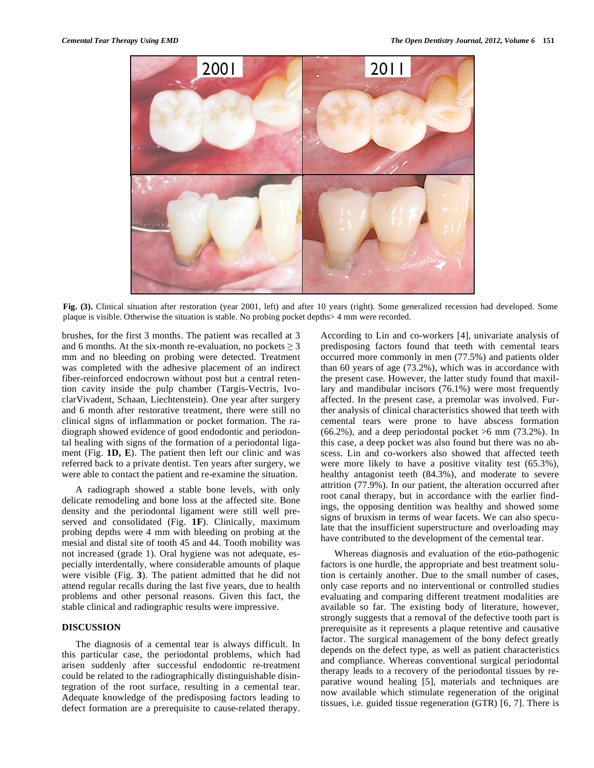

Fig. (3). Clinical situation after restoration (year 2001, left) and after 10 years (right). Some generalized recession had developed. Some plaque is visible. Otherwise the situation is stable. No probing pocket depths> 4 mm were recorded.

brushes, for the first 3 months. The patient was recalled at 3 and 6 months. At the six-month re-evaluation, no pockets  $\geq 3$ mm and no bleeding on probing were detected. Treatment was completed with the adhesive placement of an indirect fiber-reinforced endocrown without post but a central retention cavity inside the pulp chamber (Targis-Vectris, IvoclarVivadent, Schaan, Liechtenstein). One year after surgery and 6 month after restorative treatment, there were still no clinical signs of inflammation or pocket formation. The radiograph showed evidence of good endodontic and periodontal healing with signs of the formation of a periodontal ligament (Fig. **1D, E**). The patient then left our clinic and was referred back to a private dentist. Ten years after surgery, we were able to contact the patient and re-examine the situation.

A radiograph showed a stable bone levels, with only delicate remodeling and bone loss at the affected site. Bone density and the periodontal ligament were still well preserved and consolidated (Fig. **1F**). Clinically, maximum probing depths were 4 mm with bleeding on probing at the mesial and distal site of tooth 45 and 44. Tooth mobility was not increased (grade 1). Oral hygiene was not adequate, especially interdentally, where considerable amounts of plaque were visible (Fig. **3**). The patient admitted that he did not attend regular recalls during the last five years, due to health problems and other personal reasons. Given this fact, the stable clinical and radiographic results were impressive.

## **DISCUSSION**

The diagnosis of a cemental tear is always difficult. In this particular case, the periodontal problems, which had arisen suddenly after successful endodontic re-treatment could be related to the radiographically distinguishable disintegration of the root surface, resulting in a cemental tear. Adequate knowledge of the predisposing factors leading to defect formation are a prerequisite to cause-related therapy.

According to Lin and co-workers [4], univariate analysis of predisposing factors found that teeth with cemental tears occurred more commonly in men (77.5%) and patients older than 60 years of age (73.2%), which was in accordance with the present case. However, the latter study found that maxillary and mandibular incisors (76.1%) were most frequently affected. In the present case, a premolar was involved. Further analysis of clinical characteristics showed that teeth with cemental tears were prone to have abscess formation  $(66.2\%)$ , and a deep periodontal pocket  $>6$  mm  $(73.2\%)$ . In this case, a deep pocket was also found but there was no abscess. Lin and co-workers also showed that affected teeth were more likely to have a positive vitality test (65.3%), healthy antagonist teeth (84.3%), and moderate to severe attrition (77.9%). In our patient, the alteration occurred after root canal therapy, but in accordance with the earlier findings, the opposing dentition was healthy and showed some signs of bruxism in terms of wear facets. We can also speculate that the insufficient superstructure and overloading may have contributed to the development of the cemental tear.

Whereas diagnosis and evaluation of the etio-pathogenic factors is one hurdle, the appropriate and best treatment solution is certainly another. Due to the small number of cases, only case reports and no interventional or controlled studies evaluating and comparing different treatment modalities are available so far. The existing body of literature, however, strongly suggests that a removal of the defective tooth part is prerequisite as it represents a plaque retentive and causative factor. The surgical management of the bony defect greatly depends on the defect type, as well as patient characteristics and compliance. Whereas conventional surgical periodontal therapy leads to a recovery of the periodontal tissues by reparative wound healing [5], materials and techniques are now available which stimulate regeneration of the original tissues, i.e. guided tissue regeneration (GTR) [6, 7]. There is